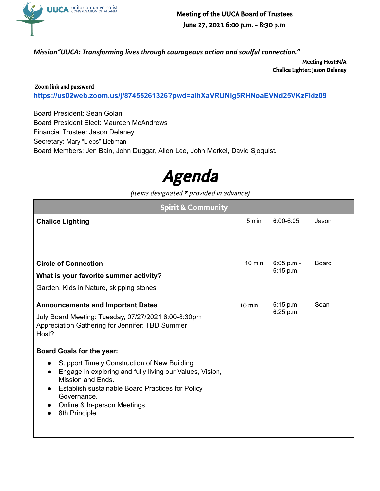

Meeting of the UUCA Board of Trustees June 27, 2021 6:00 p.m. – 8:30 p.m

*Mission"UUCA: Transforming lives through courageous action and soulful connection."*

Meeting Host:N/A Chalice Lighter: Jason Delaney

Zoom link and password **<https://us02web.zoom.us/j/87455261326?pwd=alhXaVRUNlg5RHNoaEVNd25VKzFidz09>**

Board President: Sean Golan Board President Elect: Maureen McAndrews Financial Trustee: Jason Delaney Secretary: Mary "Liebs" Liebman Board Members: Jen Bain, John Duggar, Allen Lee, John Merkel, David Sjoquist.



(items designated \* provided in advance)

| <b>Spirit &amp; Community</b>                                                                                                                                                                                                                                                                                        |                  |                         |              |
|----------------------------------------------------------------------------------------------------------------------------------------------------------------------------------------------------------------------------------------------------------------------------------------------------------------------|------------------|-------------------------|--------------|
| <b>Chalice Lighting</b>                                                                                                                                                                                                                                                                                              | 5 min            | $6:00 - 6:05$           | Jason        |
| <b>Circle of Connection</b><br>What is your favorite summer activity?<br>Garden, Kids in Nature, skipping stones                                                                                                                                                                                                     | $10$ min         | 6:05 p.m.-<br>6:15 p.m. | <b>Board</b> |
| <b>Announcements and Important Dates</b><br>July Board Meeting: Tuesday, 07/27/2021 6:00-8:30pm<br>Appreciation Gathering for Jennifer: TBD Summer<br>Host?                                                                                                                                                          | $10 \text{ min}$ | 6:15 p.m -<br>6:25 p.m. | Sean         |
| <b>Board Goals for the year:</b><br><b>Support Timely Construction of New Building</b><br>$\bullet$<br>Engage in exploring and fully living our Values, Vision,<br>Mission and Ends.<br>Establish sustainable Board Practices for Policy<br>$\bullet$<br>Governance.<br>Online & In-person Meetings<br>8th Principle |                  |                         |              |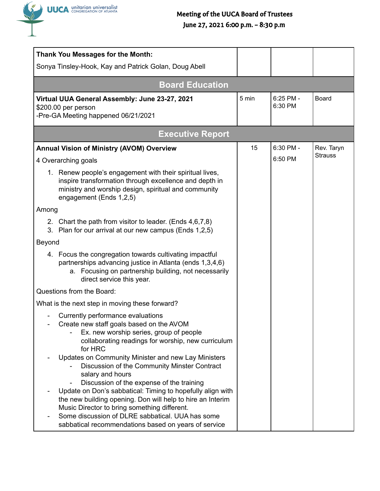

## Meeting of the UUCA Board of Trustees June 27, 2021 6:00 p.m. – 8:30 p.m

|        | <b>Thank You Messages for the Month:</b>                                                                                                                                                                              |       |                        |                              |
|--------|-----------------------------------------------------------------------------------------------------------------------------------------------------------------------------------------------------------------------|-------|------------------------|------------------------------|
|        | Sonya Tinsley-Hook, Kay and Patrick Golan, Doug Abell                                                                                                                                                                 |       |                        |                              |
|        | <b>Board Education</b>                                                                                                                                                                                                |       |                        |                              |
|        | Virtual UUA General Assembly: June 23-27, 2021<br>\$200.00 per person<br>-Pre-GA Meeting happened 06/21/2021                                                                                                          | 5 min | $6:25$ PM -<br>6:30 PM | <b>Board</b>                 |
|        | <b>Executive Report</b>                                                                                                                                                                                               |       |                        |                              |
|        | <b>Annual Vision of Ministry (AVOM) Overview</b>                                                                                                                                                                      | 15    | 6:30 PM -              | Rev. Taryn<br><b>Strauss</b> |
|        | 4 Overarching goals                                                                                                                                                                                                   |       | 6:50 PM                |                              |
|        | 1. Renew people's engagement with their spiritual lives,<br>inspire transformation through excellence and depth in<br>ministry and worship design, spiritual and community<br>engagement (Ends 1,2,5)                 |       |                        |                              |
| Among  |                                                                                                                                                                                                                       |       |                        |                              |
| 3.     | 2. Chart the path from visitor to leader. (Ends 4,6,7,8)<br>Plan for our arrival at our new campus (Ends 1,2,5)                                                                                                       |       |                        |                              |
| Beyond |                                                                                                                                                                                                                       |       |                        |                              |
|        | 4. Focus the congregation towards cultivating impactful<br>partnerships advancing justice in Atlanta (ends 1,3,4,6)<br>a. Focusing on partnership building, not necessarily<br>direct service this year.              |       |                        |                              |
|        | Questions from the Board:                                                                                                                                                                                             |       |                        |                              |
|        | What is the next step in moving these forward?                                                                                                                                                                        |       |                        |                              |
|        | Currently performance evaluations<br>Create new staff goals based on the AVOM<br>Ex. new worship series, group of people<br>collaborating readings for worship, new curriculum<br>for HRC                             |       |                        |                              |
|        | Updates on Community Minister and new Lay Ministers<br>Discussion of the Community Minster Contract<br>salary and hours                                                                                               |       |                        |                              |
|        | Discussion of the expense of the training<br>Update on Don's sabbatical: Timing to hopefully align with<br>the new building opening. Don will help to hire an Interim<br>Music Director to bring something different. |       |                        |                              |
|        | Some discussion of DLRE sabbatical. UUA has some<br>sabbatical recommendations based on years of service                                                                                                              |       |                        |                              |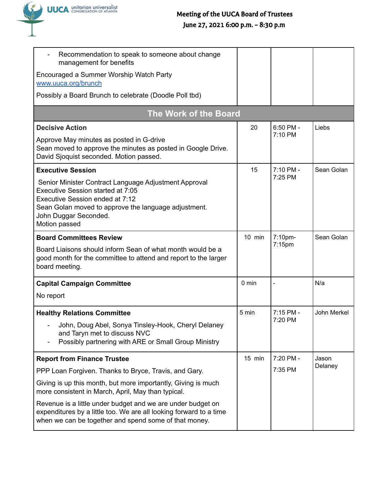

| Recommendation to speak to someone about change<br>management for benefits                                                                                                                                                      |                 |           |             |
|---------------------------------------------------------------------------------------------------------------------------------------------------------------------------------------------------------------------------------|-----------------|-----------|-------------|
| Encouraged a Summer Worship Watch Party<br>www.uuca.org/brunch                                                                                                                                                                  |                 |           |             |
| Possibly a Board Brunch to celebrate (Doodle Poll tbd)                                                                                                                                                                          |                 |           |             |
| <b>The Work of the Board</b>                                                                                                                                                                                                    |                 |           |             |
| <b>Decisive Action</b>                                                                                                                                                                                                          | 20              | 6:50 PM - | Liebs       |
| Approve May minutes as posted in G-drive<br>Sean moved to approve the minutes as posted in Google Drive.<br>David Sjoquist seconded. Motion passed.                                                                             |                 | 7:10 PM   |             |
| <b>Executive Session</b>                                                                                                                                                                                                        | 15              | 7:10 PM - | Sean Golan  |
| Senior Minister Contract Language Adjustment Approval<br>Executive Session started at 7:05<br>Executive Session ended at 7:12<br>Sean Golan moved to approve the language adjustment.<br>John Duggar Seconded.<br>Motion passed |                 | 7:25 PM   |             |
| <b>Board Committees Review</b>                                                                                                                                                                                                  | $10$ min        | 7:10pm-   | Sean Golan  |
| Board Liaisons should inform Sean of what month would be a<br>good month for the committee to attend and report to the larger<br>board meeting.                                                                                 |                 | $7:15$ pm |             |
| <b>Capital Campaign Committee</b>                                                                                                                                                                                               | $0 \text{ min}$ |           | N/a         |
| No report                                                                                                                                                                                                                       |                 |           |             |
| <b>Healthy Relations Committee</b>                                                                                                                                                                                              | 5 min           | 7:15 PM - | John Merkel |
| John, Doug Abel, Sonya Tinsley-Hook, Cheryl Delaney<br>and Taryn met to discuss NVC<br>Possibly partnering with ARE or Small Group Ministry                                                                                     |                 | 7:20 PM   |             |
| <b>Report from Finance Trustee</b>                                                                                                                                                                                              | 15 min          | 7:20 PM - | Jason       |
| PPP Loan Forgiven. Thanks to Bryce, Travis, and Gary.                                                                                                                                                                           |                 | 7:35 PM   | Delaney     |
| Giving is up this month, but more importantly, Giving is much<br>more consistent in March, April, May than typical.                                                                                                             |                 |           |             |
| Revenue is a little under budget and we are under budget on<br>expenditures by a little too. We are all looking forward to a time<br>when we can be together and spend some of that money.                                      |                 |           |             |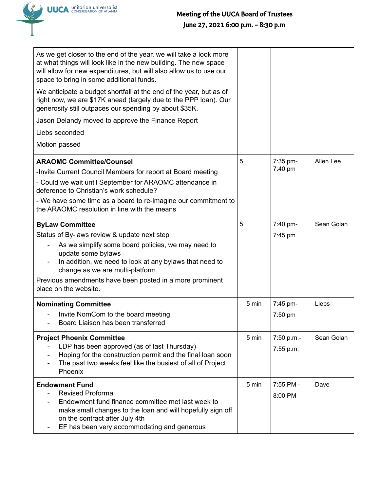

| As we get closer to the end of the year, we will take a look more<br>at what things will look like in the new building. The new space<br>will allow for new expenditures, but will also allow us to use our<br>space to bring in some additional funds.                                                                               |       |                         |            |
|---------------------------------------------------------------------------------------------------------------------------------------------------------------------------------------------------------------------------------------------------------------------------------------------------------------------------------------|-------|-------------------------|------------|
| We anticipate a budget shortfall at the end of the year, but as of<br>right now, we are \$17K ahead (largely due to the PPP loan). Our<br>generosity still outpaces our spending by about \$35K.                                                                                                                                      |       |                         |            |
| Jason Delandy moved to approve the Finance Report                                                                                                                                                                                                                                                                                     |       |                         |            |
| Liebs seconded                                                                                                                                                                                                                                                                                                                        |       |                         |            |
| Motion passed                                                                                                                                                                                                                                                                                                                         |       |                         |            |
| <b>ARAOMC Committee/Counsel</b><br>-Invite Current Council Members for report at Board meeting<br>- Could we wait until September for ARAOMC attendance in<br>deference to Christian's work schedule?<br>- We have some time as a board to re-imagine our commitment to<br>the ARAOMC resolution in line with the means               | 5     | 7:35 pm-<br>7:40 pm     | Allen Lee  |
| <b>ByLaw Committee</b><br>Status of By-laws review & update next step<br>As we simplify some board policies, we may need to<br>update some bylaws<br>In addition, we need to look at any bylaws that need to<br>change as we are multi-platform.<br>Previous amendments have been posted in a more prominent<br>place on the website. | 5     | 7:40 pm-<br>7:45 pm     | Sean Golan |
| <b>Nominating Committee</b><br>Invite NomCom to the board meeting<br>Board Liaison has been transferred                                                                                                                                                                                                                               | 5 min | 7:45 pm-<br>7:50 pm     | Liebs      |
| <b>Project Phoenix Committee</b><br>LDP has been approved (as of last Thursday)<br>Hoping for the construction permit and the final loan soon<br>The past two weeks feel like the busiest of all of Project<br>Phoenix                                                                                                                | 5 min | 7:50 p.m.-<br>7:55 p.m. | Sean Golan |
| <b>Endowment Fund</b><br><b>Revised Proforma</b><br>Endowment fund finance committee met last week to<br>make small changes to the loan and will hopefully sign off<br>on the contract after July 4th<br>EF has been very accommodating and generous                                                                                  | 5 min | 7:55 PM -<br>8:00 PM    | Dave       |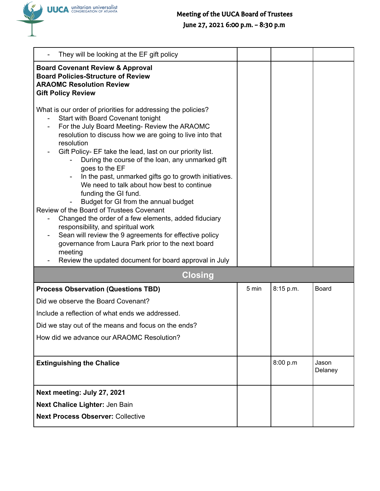

| They will be looking at the EF gift policy                                                                                                                                                                                                                                                                                                                                                                                                                                                                                                                                                                                                                                                                                                                                                                                                                           |       |           |                  |
|----------------------------------------------------------------------------------------------------------------------------------------------------------------------------------------------------------------------------------------------------------------------------------------------------------------------------------------------------------------------------------------------------------------------------------------------------------------------------------------------------------------------------------------------------------------------------------------------------------------------------------------------------------------------------------------------------------------------------------------------------------------------------------------------------------------------------------------------------------------------|-------|-----------|------------------|
| <b>Board Covenant Review &amp; Approval</b><br><b>Board Policies-Structure of Review</b><br><b>ARAOMC Resolution Review</b><br><b>Gift Policy Review</b>                                                                                                                                                                                                                                                                                                                                                                                                                                                                                                                                                                                                                                                                                                             |       |           |                  |
| What is our order of priorities for addressing the policies?<br>Start with Board Covenant tonight<br>For the July Board Meeting-Review the ARAOMC<br>resolution to discuss how we are going to live into that<br>resolution<br>Gift Policy- EF take the lead, last on our priority list.<br>During the course of the loan, any unmarked gift<br>goes to the EF<br>In the past, unmarked gifts go to growth initiatives.<br>We need to talk about how best to continue<br>funding the GI fund.<br>Budget for GI from the annual budget<br>Review of the Board of Trustees Covenant<br>Changed the order of a few elements, added fiduciary<br>responsibility, and spiritual work<br>Sean will review the 9 agreements for effective policy<br>governance from Laura Park prior to the next board<br>meeting<br>Review the updated document for board approval in July |       |           |                  |
| <b>Closing</b>                                                                                                                                                                                                                                                                                                                                                                                                                                                                                                                                                                                                                                                                                                                                                                                                                                                       |       |           |                  |
| <b>Process Observation (Questions TBD)</b>                                                                                                                                                                                                                                                                                                                                                                                                                                                                                                                                                                                                                                                                                                                                                                                                                           | 5 min | 8:15 p.m. | <b>Board</b>     |
| Did we observe the Board Covenant?                                                                                                                                                                                                                                                                                                                                                                                                                                                                                                                                                                                                                                                                                                                                                                                                                                   |       |           |                  |
| Include a reflection of what ends we addressed.                                                                                                                                                                                                                                                                                                                                                                                                                                                                                                                                                                                                                                                                                                                                                                                                                      |       |           |                  |
| Did we stay out of the means and focus on the ends?                                                                                                                                                                                                                                                                                                                                                                                                                                                                                                                                                                                                                                                                                                                                                                                                                  |       |           |                  |
| How did we advance our ARAOMC Resolution?                                                                                                                                                                                                                                                                                                                                                                                                                                                                                                                                                                                                                                                                                                                                                                                                                            |       |           |                  |
| <b>Extinguishing the Chalice</b>                                                                                                                                                                                                                                                                                                                                                                                                                                                                                                                                                                                                                                                                                                                                                                                                                                     |       | 8:00 p.m  | Jason<br>Delaney |
| Next meeting: July 27, 2021                                                                                                                                                                                                                                                                                                                                                                                                                                                                                                                                                                                                                                                                                                                                                                                                                                          |       |           |                  |
| Next Chalice Lighter: Jen Bain                                                                                                                                                                                                                                                                                                                                                                                                                                                                                                                                                                                                                                                                                                                                                                                                                                       |       |           |                  |
| <b>Next Process Observer: Collective</b>                                                                                                                                                                                                                                                                                                                                                                                                                                                                                                                                                                                                                                                                                                                                                                                                                             |       |           |                  |
|                                                                                                                                                                                                                                                                                                                                                                                                                                                                                                                                                                                                                                                                                                                                                                                                                                                                      |       |           |                  |

UUCA unitarian universalist